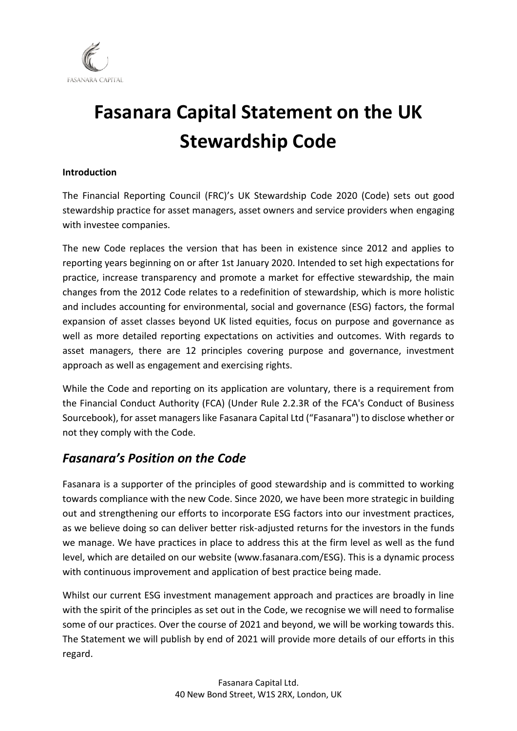

## **Fasanara Capital Statement on the UK Stewardship Code**

## **Introduction**

The Financial Reporting Council (FRC)'s UK Stewardship Code 2020 (Code) sets out good stewardship practice for asset managers, asset owners and service providers when engaging with investee companies.

The new Code replaces the version that has been in existence since 2012 and applies to reporting years beginning on or after 1st January 2020. Intended to set high expectations for practice, increase transparency and promote a market for effective stewardship, the main changes from the 2012 Code relates to a redefinition of stewardship, which is more holistic and includes accounting for environmental, social and governance (ESG) factors, the formal expansion of asset classes beyond UK listed equities, focus on purpose and governance as well as more detailed reporting expectations on activities and outcomes. With regards to asset managers, there are 12 principles covering purpose and governance, investment approach as well as engagement and exercising rights.

While the Code and reporting on its application are voluntary, there is a requirement from the Financial Conduct Authority (FCA) (Under Rule 2.2.3R of the FCA's Conduct of Business Sourcebook), for asset managers like Fasanara Capital Ltd ("Fasanara") to disclose whether or not they comply with the Code.

## *Fasanara's Position on the Code*

Fasanara is a supporter of the principles of good stewardship and is committed to working towards compliance with the new Code. Since 2020, we have been more strategic in building out and strengthening our efforts to incorporate ESG factors into our investment practices, as we believe doing so can deliver better risk-adjusted returns for the investors in the funds we manage. We have practices in place to address this at the firm level as well as the fund level, which are detailed on our website (www.fasanara.com/ESG). This is a dynamic process with continuous improvement and application of best practice being made.

Whilst our current ESG investment management approach and practices are broadly in line with the spirit of the principles as set out in the Code, we recognise we will need to formalise some of our practices. Over the course of 2021 and beyond, we will be working towards this. The Statement we will publish by end of 2021 will provide more details of our efforts in this regard.